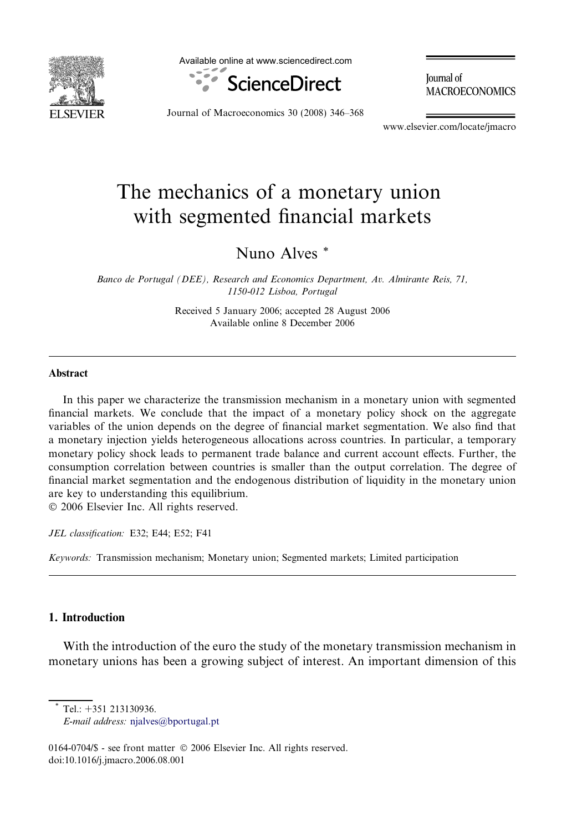

Available online at www.sciencedirect.com



**Iournal** of **MACROECONOMICS** 

Journal of Macroeconomics 30 (2008) 346–368

www.elsevier.com/locate/jmacro

## The mechanics of a monetary union with segmented financial markets

Nuno Alves \*

Banco de Portugal (DEE), Research and Economics Department, Av. Almirante Reis, 71, 1150-012 Lisboa, Portugal

> Received 5 January 2006; accepted 28 August 2006 Available online 8 December 2006

## **Abstract**

In this paper we characterize the transmission mechanism in a monetary union with segmented financial markets. We conclude that the impact of a monetary policy shock on the aggregate variables of the union depends on the degree of financial market segmentation. We also find that a monetary injection yields heterogeneous allocations across countries. In particular, a temporary monetary policy shock leads to permanent trade balance and current account effects. Further, the consumption correlation between countries is smaller than the output correlation. The degree of financial market segmentation and the endogenous distribution of liquidity in the monetary union are key to understanding this equilibrium.

© 2006 Elsevier Inc. All rights reserved.

JEL classification: E32; E44; E52; F41

Keywords: Transmission mechanism; Monetary union; Segmented markets; Limited participation

## 1. Introduction

With the introduction of the euro the study of the monetary transmission mechanism in monetary unions has been a growing subject of interest. An important dimension of this

Tel.: +351 213130936.

0164-0704/\$ - see front matter © 2006 Elsevier Inc. All rights reserved. doi:10.1016/j.jmacro.2006.08.001

E-mail address: [njalves@bportugal.pt](mailto:njalves@bportugal.pt)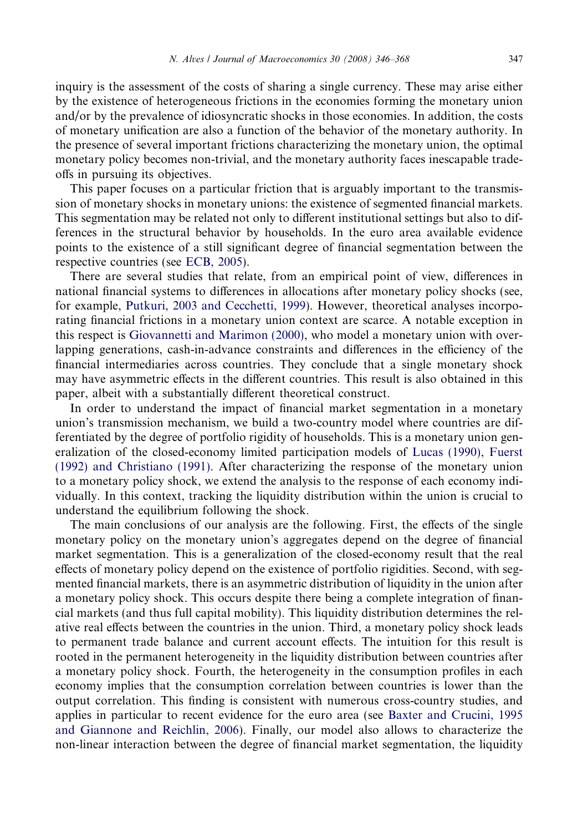inquiry is the assessment of the costs of sharing a single currency. These may arise either by the existence of heterogeneous frictions in the economies forming the monetary union and/or by the prevalence of idiosyncratic shocks in those economies. In addition, the costs of monetary unification are also a function of the behavior of the monetary authority. In the presence of several important frictions characterizing the monetary union, the optimal monetary policy becomes non-trivial, and the monetary authority faces inescapable tradeoffs in pursuing its objectives.

This paper focuses on a particular friction that is arguably important to the transmission of monetary shocks in monetary unions: the existence of segmented financial markets. This segmentation may be related not only to different institutional settings but also to differences in the structural behavior by households. In the euro area available evidence points to the existence of a still significant degree of financial segmentation between the respective countries (see [ECB, 2005](#page--1-0)).

There are several studies that relate, from an empirical point of view, differences in national financial systems to differences in allocations after monetary policy shocks (see, for example, [Putkuri, 2003 and Cecchetti, 1999](#page--1-0)). However, theoretical analyses incorporating financial frictions in a monetary union context are scarce. A notable exception in this respect is [Giovannetti and Marimon \(2000\),](#page--1-0) who model a monetary union with overlapping generations, cash-in-advance constraints and differences in the efficiency of the financial intermediaries across countries. They conclude that a single monetary shock may have asymmetric effects in the different countries. This result is also obtained in this paper, albeit with a substantially different theoretical construct.

In order to understand the impact of financial market segmentation in a monetary union's transmission mechanism, we build a two-country model where countries are differentiated by the degree of portfolio rigidity of households. This is a monetary union generalization of the closed-economy limited participation models of [Lucas \(1990\), Fuerst](#page--1-0) [\(1992\) and Christiano \(1991\)](#page--1-0). After characterizing the response of the monetary union to a monetary policy shock, we extend the analysis to the response of each economy individually. In this context, tracking the liquidity distribution within the union is crucial to understand the equilibrium following the shock.

The main conclusions of our analysis are the following. First, the effects of the single monetary policy on the monetary union's aggregates depend on the degree of financial market segmentation. This is a generalization of the closed-economy result that the real effects of monetary policy depend on the existence of portfolio rigidities. Second, with segmented financial markets, there is an asymmetric distribution of liquidity in the union after a monetary policy shock. This occurs despite there being a complete integration of financial markets (and thus full capital mobility). This liquidity distribution determines the relative real effects between the countries in the union. Third, a monetary policy shock leads to permanent trade balance and current account effects. The intuition for this result is rooted in the permanent heterogeneity in the liquidity distribution between countries after a monetary policy shock. Fourth, the heterogeneity in the consumption profiles in each economy implies that the consumption correlation between countries is lower than the output correlation. This finding is consistent with numerous cross-country studies, and applies in particular to recent evidence for the euro area (see [Baxter and Crucini, 1995](#page--1-0) [and Giannone and Reichlin, 2006\)](#page--1-0). Finally, our model also allows to characterize the non-linear interaction between the degree of financial market segmentation, the liquidity